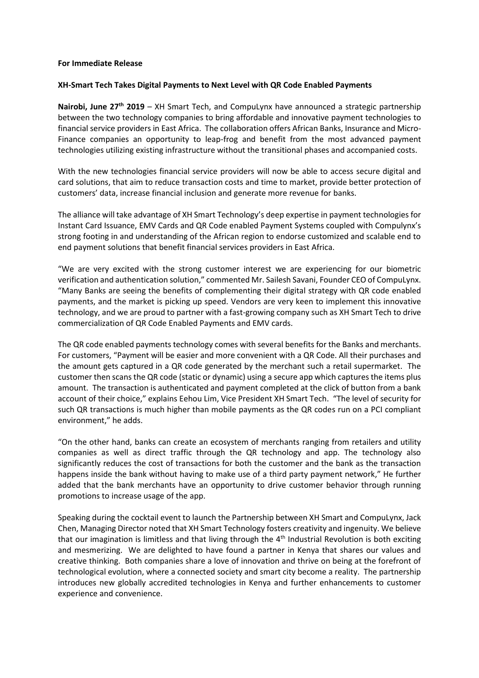## **For Immediate Release**

## **XH-Smart Tech Takes Digital Payments to Next Level with QR Code Enabled Payments**

**Nairobi, June 27th 2019** – XH Smart Tech, and CompuLynx have announced a strategic partnership between the two technology companies to bring affordable and innovative payment technologies to financial service providers in East Africa. The collaboration offers African Banks, Insurance and Micro-Finance companies an opportunity to leap-frog and benefit from the most advanced payment technologies utilizing existing infrastructure without the transitional phases and accompanied costs.

With the new technologies financial service providers will now be able to access secure digital and card solutions, that aim to reduce transaction costs and time to market, provide better protection of customers' data, increase financial inclusion and generate more revenue for banks.

The alliance will take advantage of XH Smart Technology's deep expertise in payment technologies for Instant Card Issuance, EMV Cards and QR Code enabled Payment Systems coupled with Compulynx's strong footing in and understanding of the African region to endorse customized and scalable end to end payment solutions that benefit financial services providers in East Africa.

"We are very excited with the strong customer interest we are experiencing for our biometric verification and authentication solution," commented Mr. Sailesh Savani, Founder CEO of CompuLynx. "Many Banks are seeing the benefits of complementing their digital strategy with QR code enabled payments, and the market is picking up speed. Vendors are very keen to implement this innovative technology, and we are proud to partner with a fast-growing company such as XH Smart Tech to drive commercialization of QR Code Enabled Payments and EMV cards.

The QR code enabled payments technology comes with several benefits for the Banks and merchants. For customers, "Payment will be easier and more convenient with a QR Code. All their purchases and the amount gets captured in a QR code generated by the merchant such a retail supermarket. The customer then scans the QR code (static or dynamic) using a secure app which captures the items plus amount. The transaction is authenticated and payment completed at the click of button from a bank account of their choice," explains Eehou Lim, Vice President XH Smart Tech. "The level of security for such QR transactions is much higher than mobile payments as the QR codes run on a PCI compliant environment," he adds.

"On the other hand, banks can create an ecosystem of merchants ranging from retailers and utility companies as well as direct traffic through the QR technology and app. The technology also significantly reduces the cost of transactions for both the customer and the bank as the transaction happens inside the bank without having to make use of a third party payment network," He further added that the bank merchants have an opportunity to drive customer behavior through running promotions to increase usage of the app.

Speaking during the cocktail event to launch the Partnership between XH Smart and CompuLynx, Jack Chen, Managing Director noted that XH Smart Technology fosters creativity and ingenuity. We believe that our imagination is limitless and that living through the 4<sup>th</sup> Industrial Revolution is both exciting and mesmerizing. We are delighted to have found a partner in Kenya that shares our values and creative thinking. Both companies share a love of innovation and thrive on being at the forefront of technological evolution, where a connected society and smart city become a reality. The partnership introduces new globally accredited technologies in Kenya and further enhancements to customer experience and convenience.